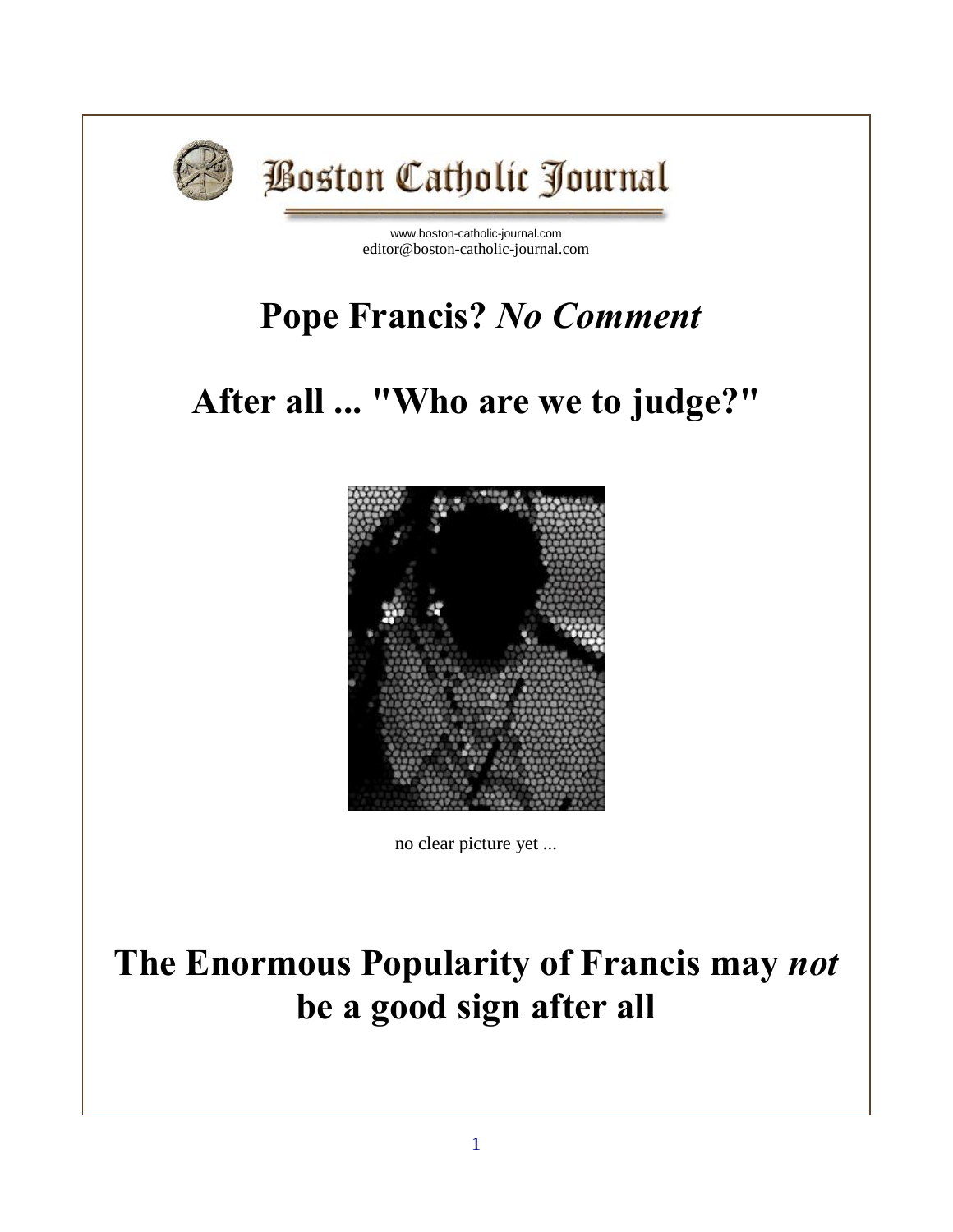

# **Boston Catholic Journal**

[www.boston-catholic-journal.com](http://www.boston-catholic-journal.com/) editor@boston-catholic-journal.com

## **Pope Francis?** *No Comment*

## **After all ... "Who are we to judge?"**



no clear picture yet ...

## **The Enormous Popularity of Francis may** *not* **be a good sign after all**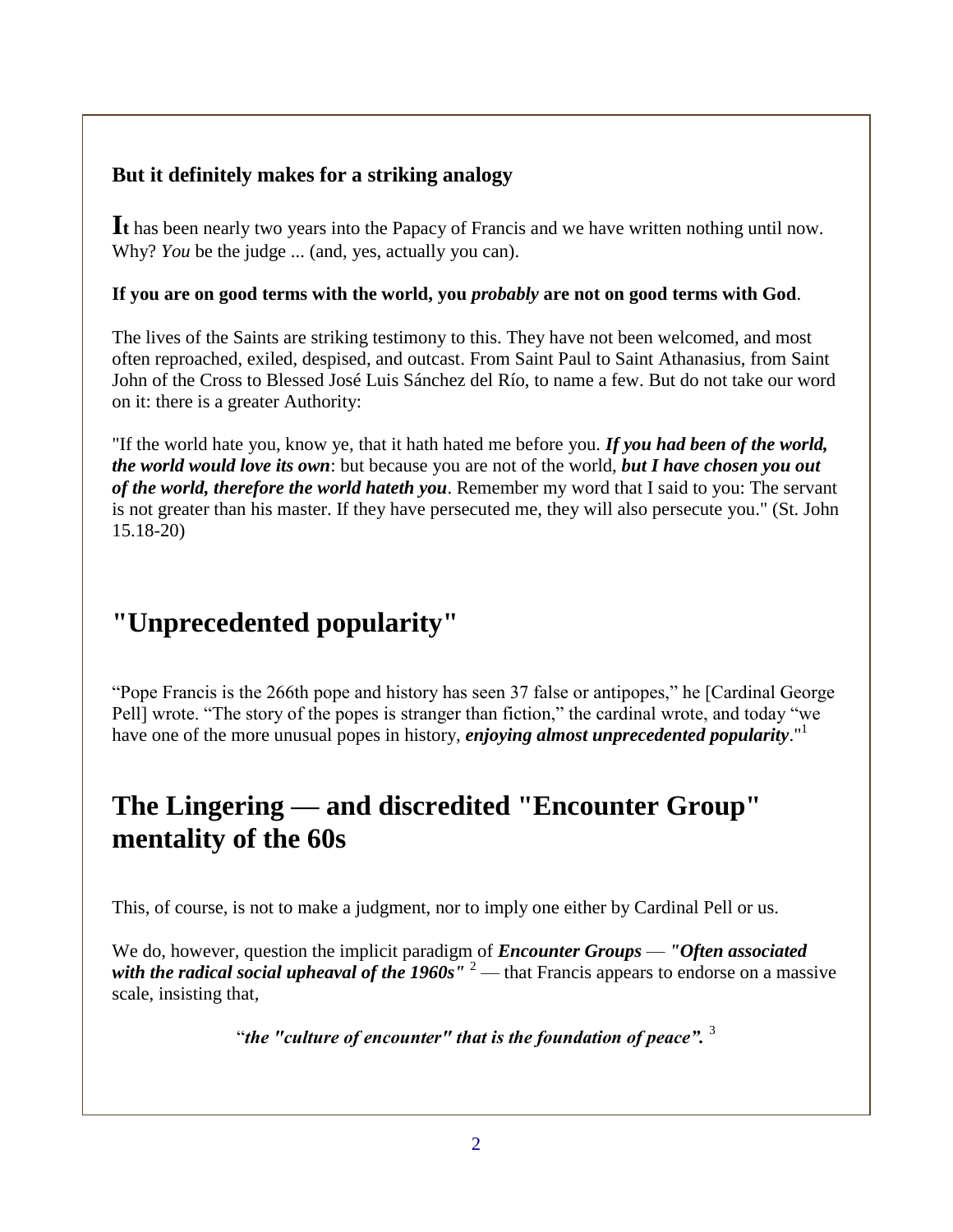#### **But it definitely makes for a striking analogy**

**It** has been nearly two years into the Papacy of Francis and we have written nothing until now. Why? *You* be the judge ... (and, yes, actually you can).

#### **If you are on good terms with the world, you** *probably* **are not on good terms with God**.

The lives of the Saints are striking testimony to this. They have not been welcomed, and most often reproached, exiled, despised, and outcast. From Saint Paul to Saint Athanasius, from Saint John of the Cross to Blessed José Luis Sánchez del Río, to name a few. But do not take our word on it: there is a greater Authority:

"If the world hate you, know ye, that it hath hated me before you. *If you had been of the world, the world would love its own*: but because you are not of the world, *but I have chosen you out of the world, therefore the world hateth you*. Remember my word that I said to you: The servant is not greater than his master. If they have persecuted me, they will also persecute you." (St. John 15.18-20)

### **"Unprecedented popularity"**

"Pope Francis is the 266th pope and history has seen 37 false or antipopes," he [Cardinal George Pell] wrote. "The story of the popes is stranger than fiction," the cardinal wrote, and today "we have one of the more unusual popes in history, *enjoying almost unprecedented popularity*."<sup>1</sup>

### **The Lingering — and discredited "Encounter Group" mentality of the 60s**

This, of course, is not to make a judgment, nor to imply one either by Cardinal Pell or us.

We do, however, question the implicit paradigm of *Encounter Groups* — *"Often associated with the radical social upheaval of the 1960s"* <sup>2</sup> — that Francis appears to endorse on a massive scale, insisting that,

"*the "culture of encounter" that is the foundation of peace".* <sup>3</sup>